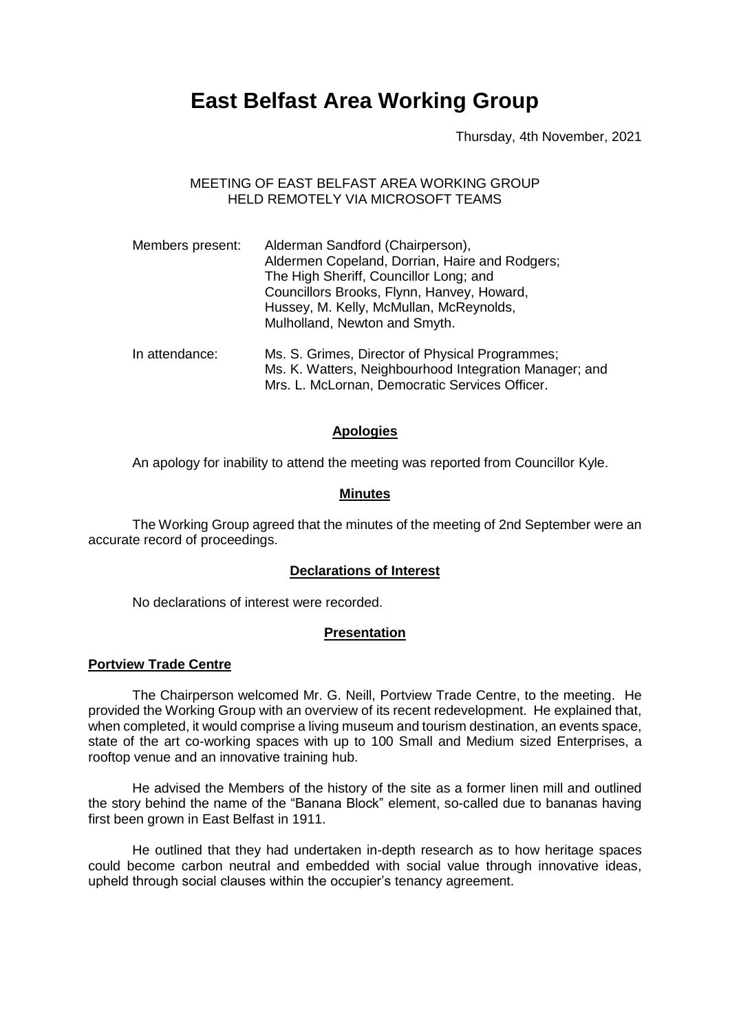# **East Belfast Area Working Group**

Thursday, 4th November, 2021

## MEETING OF EAST BELFAST AREA WORKING GROUP HELD REMOTELY VIA MICROSOFT TEAMS

| Members present: | Alderman Sandford (Chairperson),<br>Aldermen Copeland, Dorrian, Haire and Rodgers;<br>The High Sheriff, Councillor Long; and<br>Councillors Brooks, Flynn, Hanvey, Howard,<br>Hussey, M. Kelly, McMullan, McReynolds,<br>Mulholland, Newton and Smyth. |  |
|------------------|--------------------------------------------------------------------------------------------------------------------------------------------------------------------------------------------------------------------------------------------------------|--|
| In attendance:   | Ms. S. Grimes, Director of Physical Programmes;<br>Ms. K. Watters, Neighbourhood Integration Manager; and<br>Mrs. L. McLornan, Democratic Services Officer.                                                                                            |  |

## **Apologies**

An apology for inability to attend the meeting was reported from Councillor Kyle.

## **Minutes**

The Working Group agreed that the minutes of the meeting of 2nd September were an accurate record of proceedings.

## **Declarations of Interest**

No declarations of interest were recorded.

## **Presentation**

## **Portview Trade Centre**

The Chairperson welcomed Mr. G. Neill, Portview Trade Centre, to the meeting. He provided the Working Group with an overview of its recent redevelopment. He explained that, when completed, it would comprise a living museum and tourism destination, an events space, state of the art co-working spaces with up to 100 Small and Medium sized Enterprises, a rooftop venue and an innovative training hub.

He advised the Members of the history of the site as a former linen mill and outlined the story behind the name of the "Banana Block" element, so-called due to bananas having first been grown in East Belfast in 1911.

He outlined that they had undertaken in-depth research as to how heritage spaces could become carbon neutral and embedded with social value through innovative ideas, upheld through social clauses within the occupier's tenancy agreement.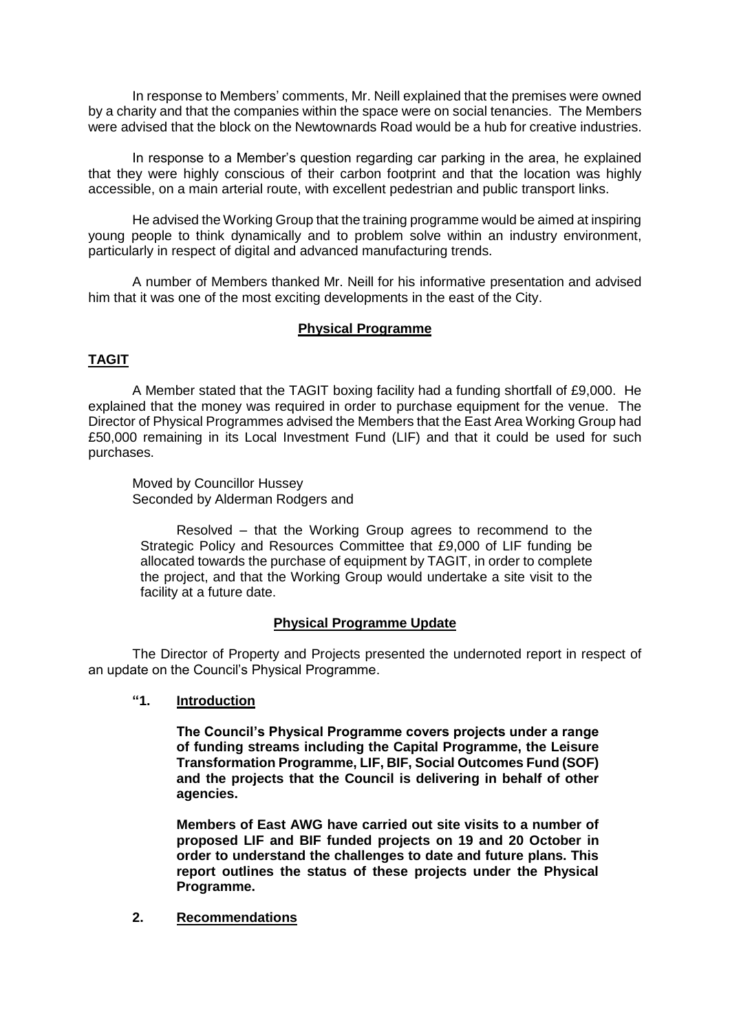In response to Members' comments, Mr. Neill explained that the premises were owned by a charity and that the companies within the space were on social tenancies. The Members were advised that the block on the Newtownards Road would be a hub for creative industries.

In response to a Member's question regarding car parking in the area, he explained that they were highly conscious of their carbon footprint and that the location was highly accessible, on a main arterial route, with excellent pedestrian and public transport links.

He advised the Working Group that the training programme would be aimed at inspiring young people to think dynamically and to problem solve within an industry environment, particularly in respect of digital and advanced manufacturing trends.

A number of Members thanked Mr. Neill for his informative presentation and advised him that it was one of the most exciting developments in the east of the City.

## **Physical Programme**

## **TAGIT**

A Member stated that the TAGIT boxing facility had a funding shortfall of £9,000. He explained that the money was required in order to purchase equipment for the venue. The Director of Physical Programmes advised the Members that the East Area Working Group had £50,000 remaining in its Local Investment Fund (LIF) and that it could be used for such purchases.

Moved by Councillor Hussey Seconded by Alderman Rodgers and

Resolved – that the Working Group agrees to recommend to the Strategic Policy and Resources Committee that £9,000 of LIF funding be allocated towards the purchase of equipment by TAGIT, in order to complete the project, and that the Working Group would undertake a site visit to the facility at a future date.

## **Physical Programme Update**

The Director of Property and Projects presented the undernoted report in respect of an update on the Council's Physical Programme.

**"1. Introduction**

**The Council's Physical Programme covers projects under a range of funding streams including the Capital Programme, the Leisure Transformation Programme, LIF, BIF, Social Outcomes Fund (SOF) and the projects that the Council is delivering in behalf of other agencies.** 

**Members of East AWG have carried out site visits to a number of proposed LIF and BIF funded projects on 19 and 20 October in order to understand the challenges to date and future plans. This report outlines the status of these projects under the Physical Programme.** 

**2. Recommendations**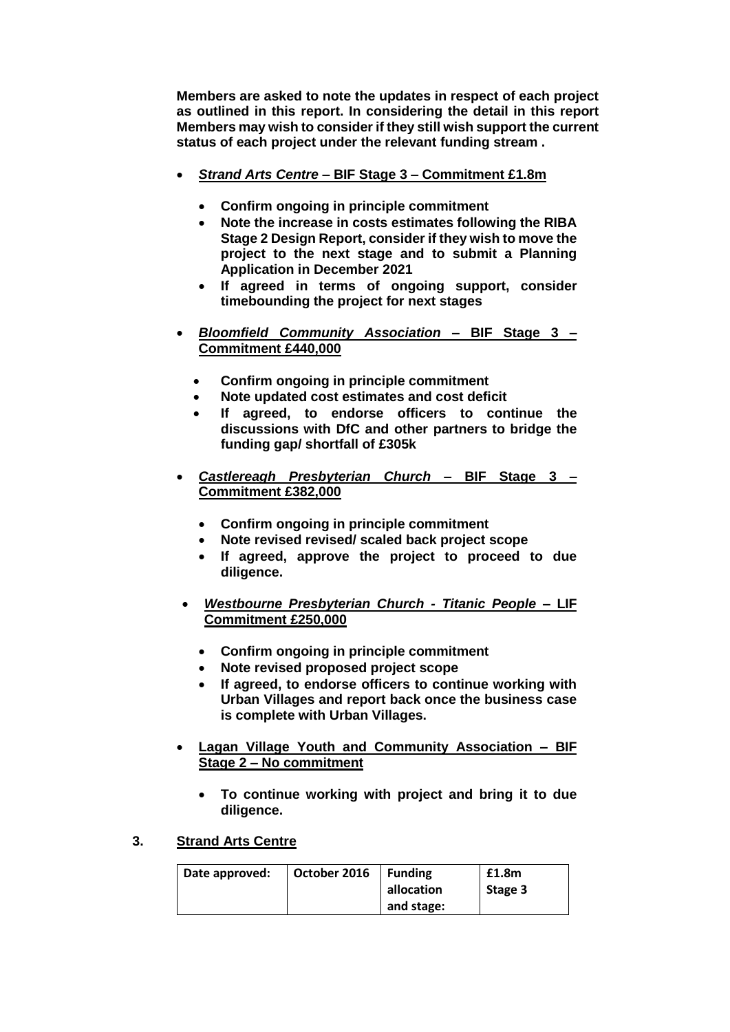**Members are asked to note the updates in respect of each project as outlined in this report. In considering the detail in this report Members may wish to consider if they still wish support the current status of each project under the relevant funding stream .** 

- *Strand Arts Centre* **– BIF Stage 3 – Commitment £1.8m** 
	- **Confirm ongoing in principle commitment**
	- **Note the increase in costs estimates following the RIBA Stage 2 Design Report, consider if they wish to move the project to the next stage and to submit a Planning Application in December 2021**
	- **If agreed in terms of ongoing support, consider timebounding the project for next stages**
- *Bloomfield Community Association* **– BIF Stage 3 – Commitment £440,000**
	- **Confirm ongoing in principle commitment**
	- **Note updated cost estimates and cost deficit**
	- **If agreed, to endorse officers to continue the discussions with DfC and other partners to bridge the funding gap/ shortfall of £305k**
- *Castlereagh Presbyterian Church* **– BIF Stage 3 – Commitment £382,000**
	- **Confirm ongoing in principle commitment**
	- **Note revised revised/ scaled back project scope**
	- **If agreed, approve the project to proceed to due diligence.**
- *Westbourne Presbyterian Church - Titanic People* **– LIF Commitment £250,000**
	- **Confirm ongoing in principle commitment**
	- **Note revised proposed project scope**
	- **If agreed, to endorse officers to continue working with Urban Villages and report back once the business case is complete with Urban Villages.**
- **Lagan Village Youth and Community Association – BIF Stage 2 – No commitment** 
	- **To continue working with project and bring it to due diligence.**
- **3. Strand Arts Centre**

| Date approved: | October 2016 | l Funding<br>allocation | £1.8m<br>Stage 3 |
|----------------|--------------|-------------------------|------------------|
|                |              | and stage:              |                  |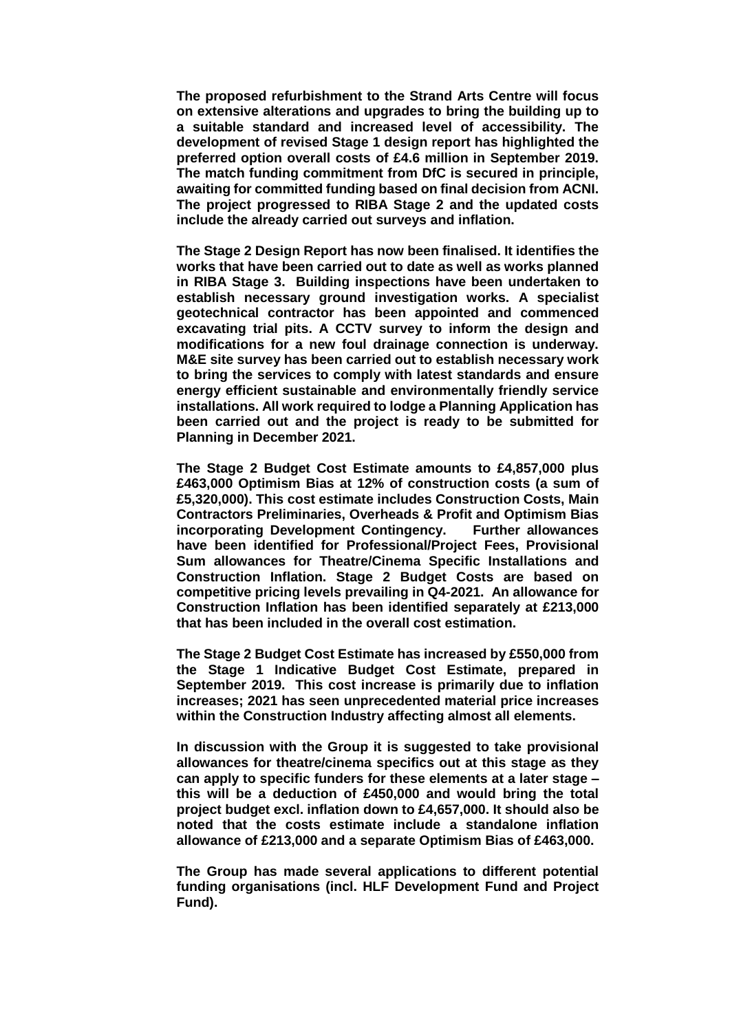**The proposed refurbishment to the Strand Arts Centre will focus on extensive alterations and upgrades to bring the building up to a suitable standard and increased level of accessibility. The development of revised Stage 1 design report has highlighted the preferred option overall costs of £4.6 million in September 2019. The match funding commitment from DfC is secured in principle, awaiting for committed funding based on final decision from ACNI. The project progressed to RIBA Stage 2 and the updated costs include the already carried out surveys and inflation.** 

**The Stage 2 Design Report has now been finalised. It identifies the works that have been carried out to date as well as works planned in RIBA Stage 3. Building inspections have been undertaken to establish necessary ground investigation works. A specialist geotechnical contractor has been appointed and commenced excavating trial pits. A CCTV survey to inform the design and modifications for a new foul drainage connection is underway. M&E site survey has been carried out to establish necessary work to bring the services to comply with latest standards and ensure energy efficient sustainable and environmentally friendly service installations. All work required to lodge a Planning Application has been carried out and the project is ready to be submitted for Planning in December 2021.**

**The Stage 2 Budget Cost Estimate amounts to £4,857,000 plus £463,000 Optimism Bias at 12% of construction costs (a sum of £5,320,000). This cost estimate includes Construction Costs, Main Contractors Preliminaries, Overheads & Profit and Optimism Bias incorporating Development Contingency. Further allowances have been identified for Professional/Project Fees, Provisional Sum allowances for Theatre/Cinema Specific Installations and Construction Inflation. Stage 2 Budget Costs are based on competitive pricing levels prevailing in Q4-2021. An allowance for Construction Inflation has been identified separately at £213,000 that has been included in the overall cost estimation.**

**The Stage 2 Budget Cost Estimate has increased by £550,000 from the Stage 1 Indicative Budget Cost Estimate, prepared in September 2019. This cost increase is primarily due to inflation increases; 2021 has seen unprecedented material price increases within the Construction Industry affecting almost all elements.** 

**In discussion with the Group it is suggested to take provisional allowances for theatre/cinema specifics out at this stage as they can apply to specific funders for these elements at a later stage – this will be a deduction of £450,000 and would bring the total project budget excl. inflation down to £4,657,000. It should also be noted that the costs estimate include a standalone inflation allowance of £213,000 and a separate Optimism Bias of £463,000.**

**The Group has made several applications to different potential funding organisations (incl. HLF Development Fund and Project Fund).**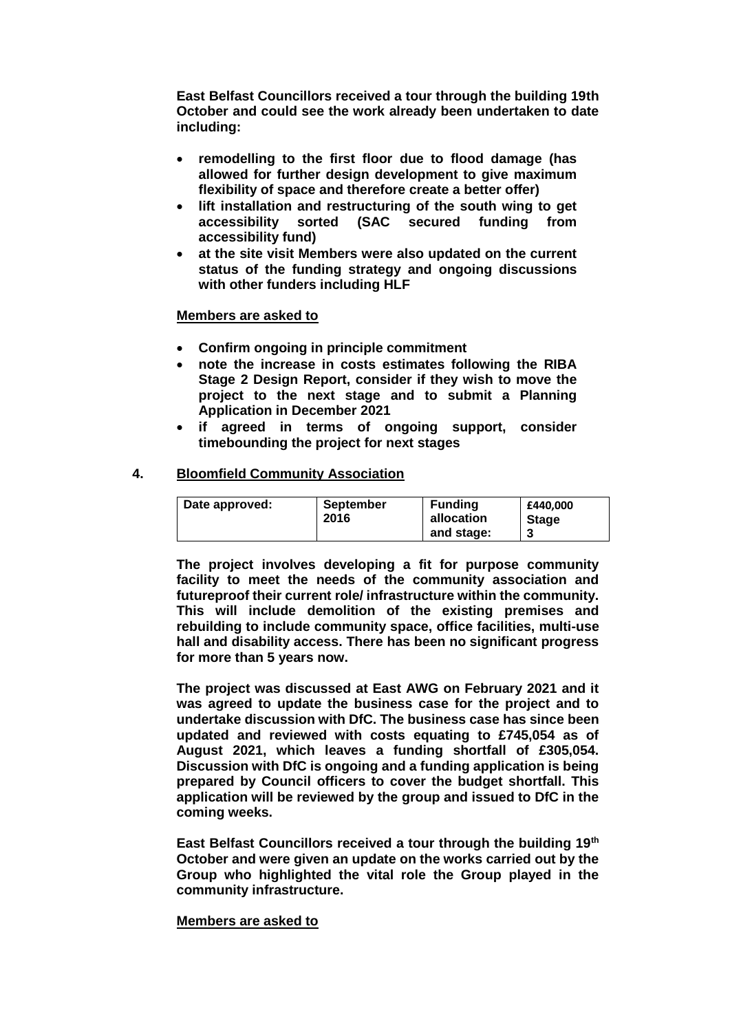**East Belfast Councillors received a tour through the building 19th October and could see the work already been undertaken to date including:**

- **remodelling to the first floor due to flood damage (has allowed for further design development to give maximum flexibility of space and therefore create a better offer)**
- **lift installation and restructuring of the south wing to get accessibility sorted (SAC secured funding from accessibility fund)**
- **at the site visit Members were also updated on the current status of the funding strategy and ongoing discussions with other funders including HLF**

## **Members are asked to**

- **Confirm ongoing in principle commitment**
- **note the increase in costs estimates following the RIBA Stage 2 Design Report, consider if they wish to move the project to the next stage and to submit a Planning Application in December 2021**
- **if agreed in terms of ongoing support, consider timebounding the project for next stages**

## **4. Bloomfield Community Association**

| Date approved: | <b>September</b><br>2016 | <b>Funding</b><br>allocation<br>and stage: | £440.000<br><b>Stage</b> |
|----------------|--------------------------|--------------------------------------------|--------------------------|
|----------------|--------------------------|--------------------------------------------|--------------------------|

**The project involves developing a fit for purpose community facility to meet the needs of the community association and futureproof their current role/ infrastructure within the community. This will include demolition of the existing premises and rebuilding to include community space, office facilities, multi-use hall and disability access. There has been no significant progress for more than 5 years now.**

**The project was discussed at East AWG on February 2021 and it was agreed to update the business case for the project and to undertake discussion with DfC. The business case has since been updated and reviewed with costs equating to £745,054 as of August 2021, which leaves a funding shortfall of £305,054. Discussion with DfC is ongoing and a funding application is being prepared by Council officers to cover the budget shortfall. This application will be reviewed by the group and issued to DfC in the coming weeks.**

**East Belfast Councillors received a tour through the building 19th October and were given an update on the works carried out by the Group who highlighted the vital role the Group played in the community infrastructure.** 

## **Members are asked to**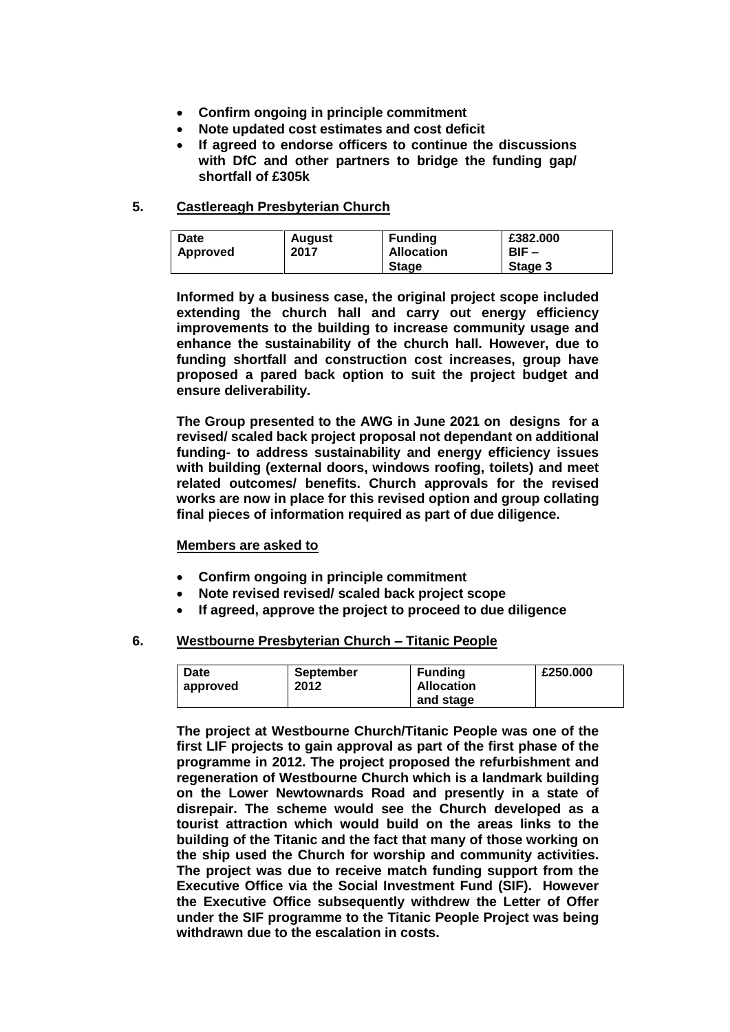- **Confirm ongoing in principle commitment**
- **Note updated cost estimates and cost deficit**
- **If agreed to endorse officers to continue the discussions with DfC and other partners to bridge the funding gap/ shortfall of £305k**

## **5. Castlereagh Presbyterian Church**

| <b>Date</b> | <b>August</b> | <b>Funding</b>    | £382.000 |
|-------------|---------------|-------------------|----------|
|             | 2017          | <b>Allocation</b> | BIF –    |
| Approved    |               | <b>Stage</b>      | Stage 3  |

**Informed by a business case, the original project scope included extending the church hall and carry out energy efficiency improvements to the building to increase community usage and enhance the sustainability of the church hall. However, due to funding shortfall and construction cost increases, group have proposed a pared back option to suit the project budget and ensure deliverability.** 

**The Group presented to the AWG in June 2021 on designs for a revised/ scaled back project proposal not dependant on additional funding- to address sustainability and energy efficiency issues with building (external doors, windows roofing, toilets) and meet related outcomes/ benefits. Church approvals for the revised works are now in place for this revised option and group collating final pieces of information required as part of due diligence.**

## **Members are asked to**

- **Confirm ongoing in principle commitment**
- **Note revised revised/ scaled back project scope**
- **If agreed, approve the project to proceed to due diligence**

## **6. Westbourne Presbyterian Church – Titanic People**

| Date     | September | <b>Funding</b>    | £250,000 |
|----------|-----------|-------------------|----------|
| approved | 2012      | <b>Allocation</b> |          |
|          |           | and stage         |          |

**The project at Westbourne Church/Titanic People was one of the first LIF projects to gain approval as part of the first phase of the programme in 2012. The project proposed the refurbishment and regeneration of Westbourne Church which is a landmark building on the Lower Newtownards Road and presently in a state of disrepair. The scheme would see the Church developed as a tourist attraction which would build on the areas links to the building of the Titanic and the fact that many of those working on the ship used the Church for worship and community activities. The project was due to receive match funding support from the Executive Office via the Social Investment Fund (SIF). However the Executive Office subsequently withdrew the Letter of Offer under the SIF programme to the Titanic People Project was being withdrawn due to the escalation in costs.**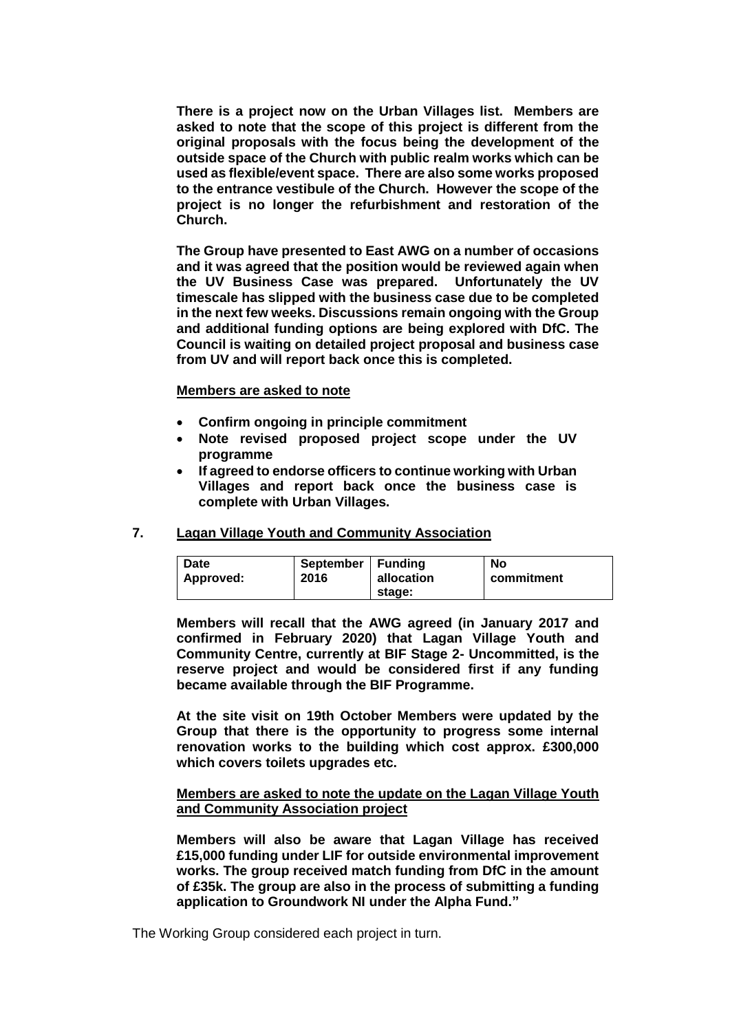**There is a project now on the Urban Villages list. Members are asked to note that the scope of this project is different from the original proposals with the focus being the development of the outside space of the Church with public realm works which can be used as flexible/event space. There are also some works proposed to the entrance vestibule of the Church. However the scope of the project is no longer the refurbishment and restoration of the Church.** 

**The Group have presented to East AWG on a number of occasions and it was agreed that the position would be reviewed again when the UV Business Case was prepared. Unfortunately the UV timescale has slipped with the business case due to be completed in the next few weeks. Discussions remain ongoing with the Group and additional funding options are being explored with DfC. The Council is waiting on detailed project proposal and business case from UV and will report back once this is completed.** 

#### **Members are asked to note**

- **Confirm ongoing in principle commitment**
- **Note revised proposed project scope under the UV programme**
- **If agreed to endorse officers to continue working with Urban Villages and report back once the business case is complete with Urban Villages.**

## **7. Lagan Village Youth and Community Association**

| <b>Date</b> | September   Funding | allocation | No         |
|-------------|---------------------|------------|------------|
| Approved:   | 2016                | stage:     | commitment |

**Members will recall that the AWG agreed (in January 2017 and confirmed in February 2020) that Lagan Village Youth and Community Centre, currently at BIF Stage 2- Uncommitted, is the reserve project and would be considered first if any funding became available through the BIF Programme.** 

**At the site visit on 19th October Members were updated by the Group that there is the opportunity to progress some internal renovation works to the building which cost approx. £300,000 which covers toilets upgrades etc.** 

## **Members are asked to note the update on the Lagan Village Youth and Community Association project**

**Members will also be aware that Lagan Village has received £15,000 funding under LIF for outside environmental improvement works. The group received match funding from DfC in the amount of £35k. The group are also in the process of submitting a funding application to Groundwork NI under the Alpha Fund."**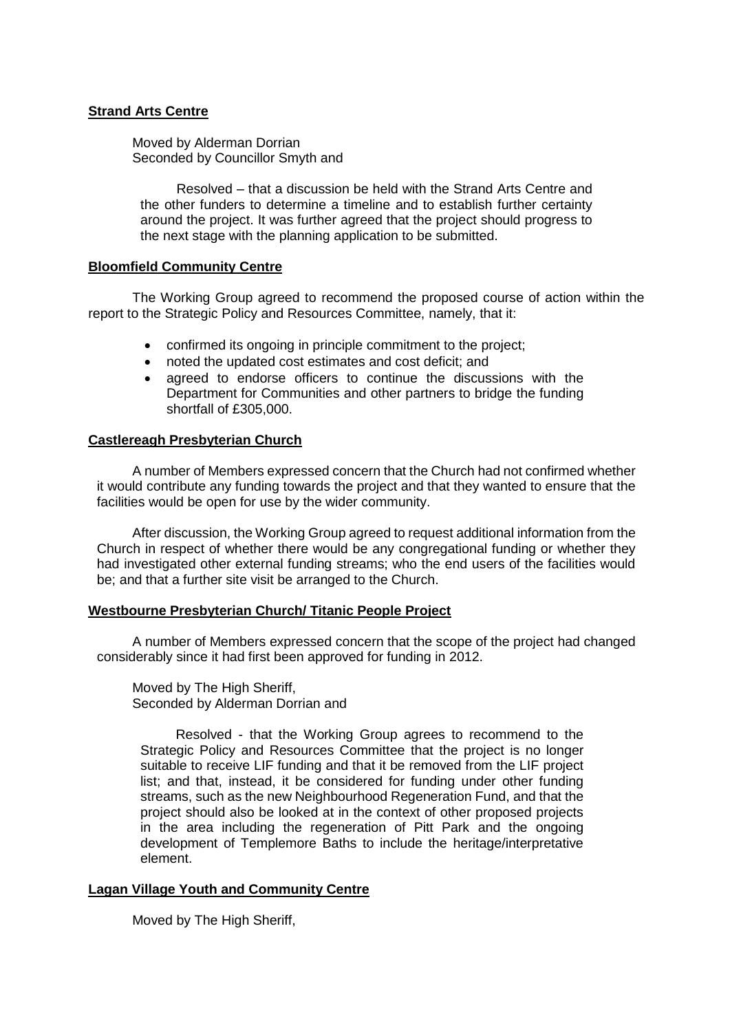## **Strand Arts Centre**

Moved by Alderman Dorrian Seconded by Councillor Smyth and

Resolved – that a discussion be held with the Strand Arts Centre and the other funders to determine a timeline and to establish further certainty around the project. It was further agreed that the project should progress to the next stage with the planning application to be submitted.

## **Bloomfield Community Centre**

The Working Group agreed to recommend the proposed course of action within the report to the Strategic Policy and Resources Committee, namely, that it:

- confirmed its ongoing in principle commitment to the project;
- noted the updated cost estimates and cost deficit; and
- agreed to endorse officers to continue the discussions with the Department for Communities and other partners to bridge the funding shortfall of £305,000.

## **Castlereagh Presbyterian Church**

A number of Members expressed concern that the Church had not confirmed whether it would contribute any funding towards the project and that they wanted to ensure that the facilities would be open for use by the wider community.

After discussion, the Working Group agreed to request additional information from the Church in respect of whether there would be any congregational funding or whether they had investigated other external funding streams; who the end users of the facilities would be; and that a further site visit be arranged to the Church.

## **Westbourne Presbyterian Church/ Titanic People Project**

A number of Members expressed concern that the scope of the project had changed considerably since it had first been approved for funding in 2012.

Moved by The High Sheriff, Seconded by Alderman Dorrian and

Resolved - that the Working Group agrees to recommend to the Strategic Policy and Resources Committee that the project is no longer suitable to receive LIF funding and that it be removed from the LIF project list; and that, instead, it be considered for funding under other funding streams, such as the new Neighbourhood Regeneration Fund, and that the project should also be looked at in the context of other proposed projects in the area including the regeneration of Pitt Park and the ongoing development of Templemore Baths to include the heritage/interpretative element.

## **Lagan Village Youth and Community Centre**

Moved by The High Sheriff,